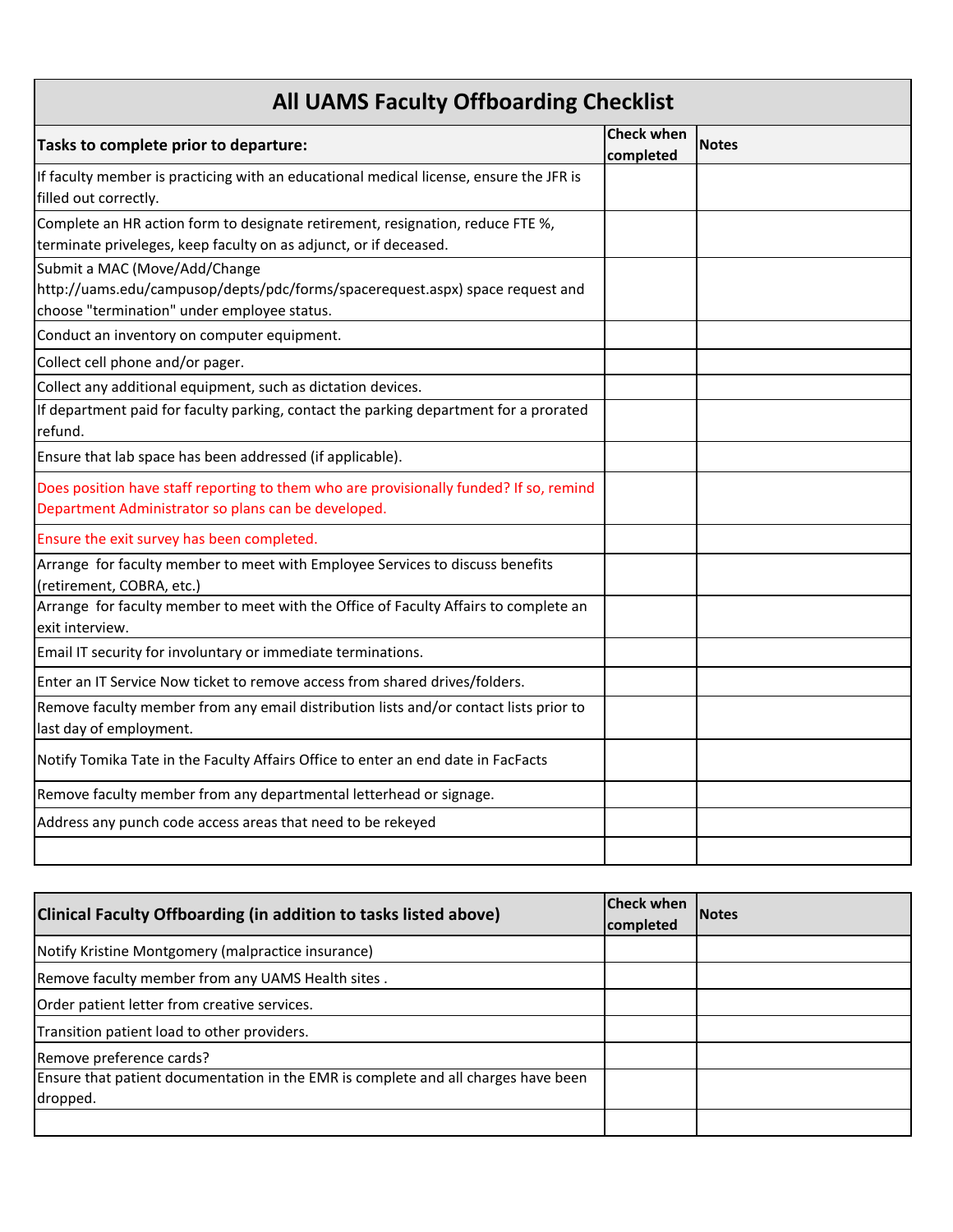## **All UAMS Faculty Offboarding Checklist**

| Tasks to complete prior to departure:                                                                                                                         | <b>Check when</b><br>completed | <b>Notes</b> |
|---------------------------------------------------------------------------------------------------------------------------------------------------------------|--------------------------------|--------------|
| If faculty member is practicing with an educational medical license, ensure the JFR is<br>filled out correctly.                                               |                                |              |
| Complete an HR action form to designate retirement, resignation, reduce FTE %,<br>terminate priveleges, keep faculty on as adjunct, or if deceased.           |                                |              |
| Submit a MAC (Move/Add/Change<br>http://uams.edu/campusop/depts/pdc/forms/spacerequest.aspx) space request and<br>choose "termination" under employee status. |                                |              |
| Conduct an inventory on computer equipment.                                                                                                                   |                                |              |
| Collect cell phone and/or pager.                                                                                                                              |                                |              |
| Collect any additional equipment, such as dictation devices.                                                                                                  |                                |              |
| If department paid for faculty parking, contact the parking department for a prorated<br>refund.                                                              |                                |              |
| Ensure that lab space has been addressed (if applicable).                                                                                                     |                                |              |
| Does position have staff reporting to them who are provisionally funded? If so, remind<br>Department Administrator so plans can be developed.                 |                                |              |
| Ensure the exit survey has been completed.                                                                                                                    |                                |              |
| Arrange for faculty member to meet with Employee Services to discuss benefits<br>(retirement, COBRA, etc.)                                                    |                                |              |
| Arrange for faculty member to meet with the Office of Faculty Affairs to complete an<br>exit interview.                                                       |                                |              |
| Email IT security for involuntary or immediate terminations.                                                                                                  |                                |              |
| Enter an IT Service Now ticket to remove access from shared drives/folders.                                                                                   |                                |              |
| Remove faculty member from any email distribution lists and/or contact lists prior to<br>last day of employment.                                              |                                |              |
| Notify Tomika Tate in the Faculty Affairs Office to enter an end date in FacFacts                                                                             |                                |              |
| Remove faculty member from any departmental letterhead or signage.                                                                                            |                                |              |
| Address any punch code access areas that need to be rekeyed                                                                                                   |                                |              |
|                                                                                                                                                               |                                |              |

| Clinical Faculty Offboarding (in addition to tasks listed above)                   | <b>Check when</b><br>completed | <b>Notes</b> |
|------------------------------------------------------------------------------------|--------------------------------|--------------|
| Notify Kristine Montgomery (malpractice insurance)                                 |                                |              |
| Remove faculty member from any UAMS Health sites.                                  |                                |              |
| Order patient letter from creative services.                                       |                                |              |
| Transition patient load to other providers.                                        |                                |              |
| Remove preference cards?                                                           |                                |              |
| Ensure that patient documentation in the EMR is complete and all charges have been |                                |              |
| dropped.                                                                           |                                |              |
|                                                                                    |                                |              |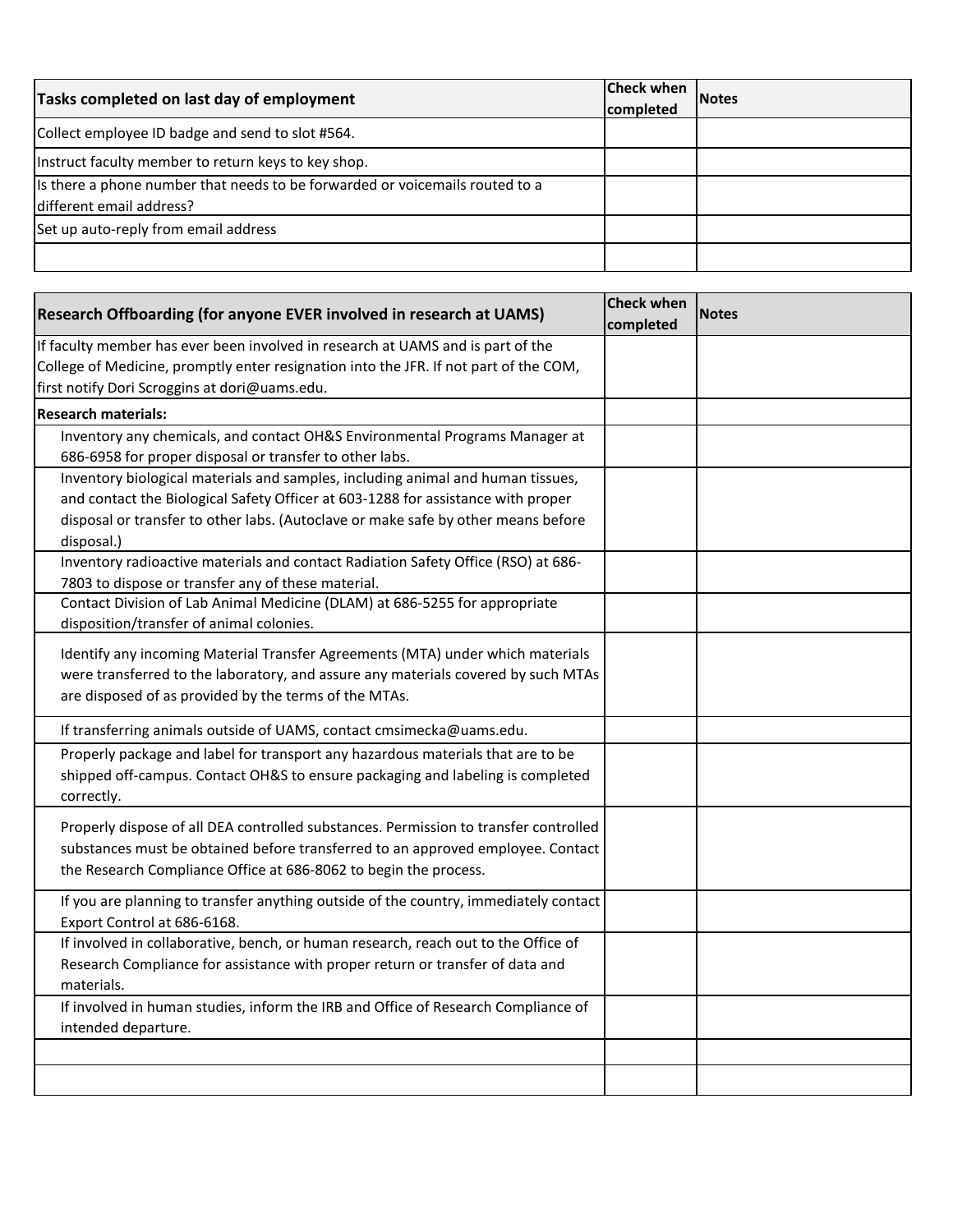| Tasks completed on last day of employment                                                                | <b>Check when</b><br>completed | <b>Notes</b> |
|----------------------------------------------------------------------------------------------------------|--------------------------------|--------------|
| Collect employee ID badge and send to slot #564.                                                         |                                |              |
| Instruct faculty member to return keys to key shop.                                                      |                                |              |
| Is there a phone number that needs to be forwarded or voicemails routed to a<br>different email address? |                                |              |
| Set up auto-reply from email address                                                                     |                                |              |
|                                                                                                          |                                |              |

| Research Offboarding (for anyone EVER involved in research at UAMS)                                                                                                                                                                                                    | <b>Check when</b><br>completed | <b>Notes</b> |
|------------------------------------------------------------------------------------------------------------------------------------------------------------------------------------------------------------------------------------------------------------------------|--------------------------------|--------------|
| If faculty member has ever been involved in research at UAMS and is part of the<br>College of Medicine, promptly enter resignation into the JFR. If not part of the COM,<br>first notify Dori Scroggins at dori@uams.edu.                                              |                                |              |
| <b>Research materials:</b>                                                                                                                                                                                                                                             |                                |              |
| Inventory any chemicals, and contact OH&S Environmental Programs Manager at<br>686-6958 for proper disposal or transfer to other labs.                                                                                                                                 |                                |              |
| Inventory biological materials and samples, including animal and human tissues,<br>and contact the Biological Safety Officer at 603-1288 for assistance with proper<br>disposal or transfer to other labs. (Autoclave or make safe by other means before<br>disposal.) |                                |              |
| Inventory radioactive materials and contact Radiation Safety Office (RSO) at 686-<br>7803 to dispose or transfer any of these material.                                                                                                                                |                                |              |
| Contact Division of Lab Animal Medicine (DLAM) at 686-5255 for appropriate<br>disposition/transfer of animal colonies.                                                                                                                                                 |                                |              |
| Identify any incoming Material Transfer Agreements (MTA) under which materials<br>were transferred to the laboratory, and assure any materials covered by such MTAs<br>are disposed of as provided by the terms of the MTAs.                                           |                                |              |
| If transferring animals outside of UAMS, contact cmsimecka@uams.edu.                                                                                                                                                                                                   |                                |              |
| Properly package and label for transport any hazardous materials that are to be<br>shipped off-campus. Contact OH&S to ensure packaging and labeling is completed<br>correctly.                                                                                        |                                |              |
| Properly dispose of all DEA controlled substances. Permission to transfer controlled<br>substances must be obtained before transferred to an approved employee. Contact<br>the Research Compliance Office at 686-8062 to begin the process.                            |                                |              |
| If you are planning to transfer anything outside of the country, immediately contact<br>Export Control at 686-6168.                                                                                                                                                    |                                |              |
| If involved in collaborative, bench, or human research, reach out to the Office of<br>Research Compliance for assistance with proper return or transfer of data and<br>materials.                                                                                      |                                |              |
| If involved in human studies, inform the IRB and Office of Research Compliance of<br>intended departure.                                                                                                                                                               |                                |              |
|                                                                                                                                                                                                                                                                        |                                |              |
|                                                                                                                                                                                                                                                                        |                                |              |